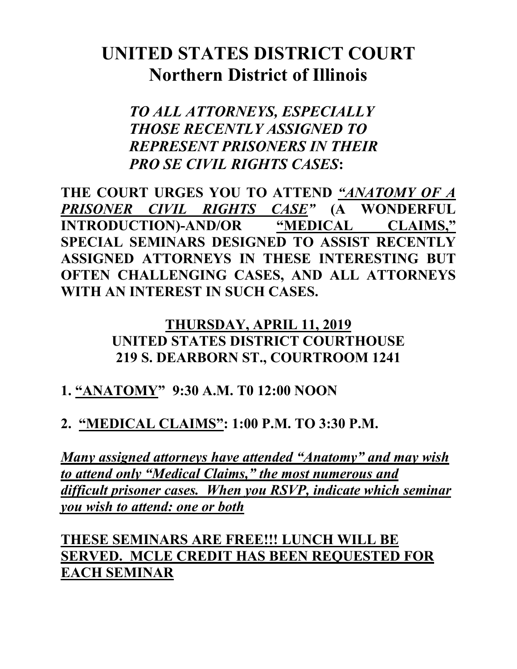# **UNITED STATES DISTRICT COURT Northern District of Illinois**

*TO ALL ATTORNEYS, ESPECIALLY THOSE RECENTLY ASSIGNED TO REPRESENT PRISONERS IN THEIR PRO SE CIVIL RIGHTS CASES***:**

**THE COURT URGES YOU TO ATTEND** *"ANATOMY OF A PRISONER CIVIL RIGHTS CASE"* **(A WONDERFUL INTRODUCTION)-AND/OR "MEDICAL CLAIMS," SPECIAL SEMINARS DESIGNED TO ASSIST RECENTLY ASSIGNED ATTORNEYS IN THESE INTERESTING BUT OFTEN CHALLENGING CASES, AND ALL ATTORNEYS WITH AN INTEREST IN SUCH CASES.** 

#### **THURSDAY, APRIL 11, 2019 UNITED STATES DISTRICT COURTHOUSE 219 S. DEARBORN ST., COURTROOM 1241**

## **1. "ANATOMY" 9:30 A.M. T0 12:00 NOON**

## **2. "MEDICAL CLAIMS": 1:00 P.M. TO 3:30 P.M.**

*Many assigned attorneys have attended "Anatomy" and may wish to attend only "Medical Claims," the most numerous and difficult prisoner cases. When you RSVP, indicate which seminar you wish to attend: one or both*

**THESE SEMINARS ARE FREE!!! LUNCH WILL BE SERVED. MCLE CREDIT HAS BEEN REQUESTED FOR EACH SEMINAR**